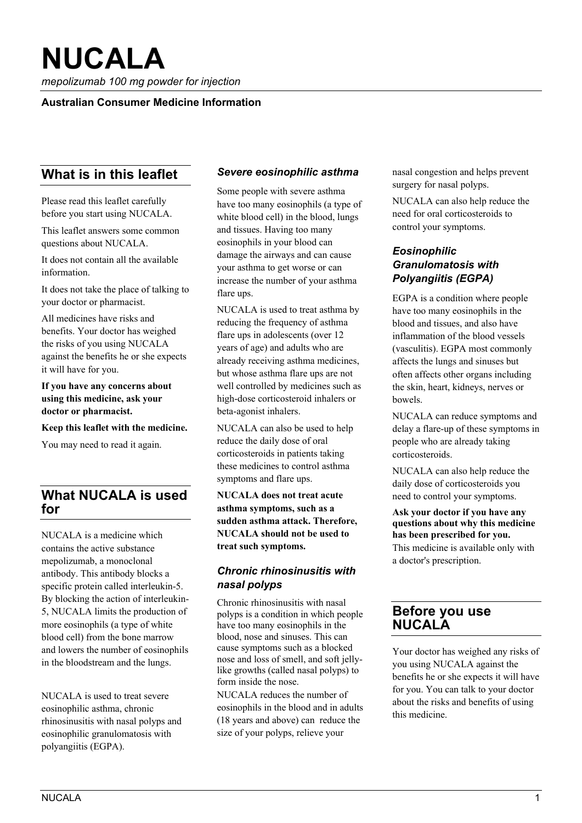*mepolizumab 100 mg powder for injection* 

#### **Australian Consumer Medicine Information**

# **What is in this leaflet**

Please read this leaflet carefully before you start using NUCALA.

This leaflet answers some common questions about NUCALA.

It does not contain all the available information.

It does not take the place of talking to your doctor or pharmacist.

All medicines have risks and benefits. Your doctor has weighed the risks of you using NUCALA against the benefits he or she expects it will have for you.

**If you have any concerns about using this medicine, ask your doctor or pharmacist.** 

**Keep this leaflet with the medicine.** 

You may need to read it again.

# **What NUCALA is used for**

NUCALA is a medicine which contains the active substance mepolizumab, a monoclonal antibody. This antibody blocks a specific protein called interleukin-5. By blocking the action of interleukin-5, NUCALA limits the production of more eosinophils (a type of white blood cell) from the bone marrow and lowers the number of eosinophils in the bloodstream and the lungs.

NUCALA is used to treat severe eosinophilic asthma, chronic rhinosinusitis with nasal polyps and eosinophilic granulomatosis with polyangiitis (EGPA).

#### *Severe eosinophilic asthma*

Some people with severe asthma have too many eosinophils (a type of white blood cell) in the blood, lungs and tissues. Having too many eosinophils in your blood can damage the airways and can cause your asthma to get worse or can increase the number of your asthma flare ups.

NUCALA is used to treat asthma by reducing the frequency of asthma flare ups in adolescents (over 12 years of age) and adults who are already receiving asthma medicines, but whose asthma flare ups are not well controlled by medicines such as high-dose corticosteroid inhalers or beta-agonist inhalers.

NUCALA can also be used to help reduce the daily dose of oral corticosteroids in patients taking these medicines to control asthma symptoms and flare ups.

**NUCALA does not treat acute asthma symptoms, such as a sudden asthma attack. Therefore, NUCALA should not be used to treat such symptoms.** 

# *Chronic rhinosinusitis with nasal polyps*

Chronic rhinosinusitis with nasal polyps is a condition in which people have too many eosinophils in the blood, nose and sinuses. This can cause symptoms such as a blocked nose and loss of smell, and soft jellylike growths (called nasal polyps) to form inside the nose.

NUCALA reduces the number of eosinophils in the blood and in adults (18 years and above) can reduce the size of your polyps, relieve your

nasal congestion and helps prevent surgery for nasal polyps.

NUCALA can also help reduce the need for oral corticosteroids to control your symptoms.

# *Eosinophilic Granulomatosis with Polyangiitis (EGPA)*

EGPA is a condition where people have too many eosinophils in the blood and tissues, and also have inflammation of the blood vessels (vasculitis). EGPA most commonly affects the lungs and sinuses but often affects other organs including the skin, heart, kidneys, nerves or bowels.

NUCALA can reduce symptoms and delay a flare-up of these symptoms in people who are already taking corticosteroids.

NUCALA can also help reduce the daily dose of corticosteroids you need to control your symptoms.

**Ask your doctor if you have any questions about why this medicine has been prescribed for you.**  This medicine is available only with a doctor's prescription.

# **Before you use NUCALA**

Your doctor has weighed any risks of you using NUCALA against the benefits he or she expects it will have for you. You can talk to your doctor about the risks and benefits of using this medicine.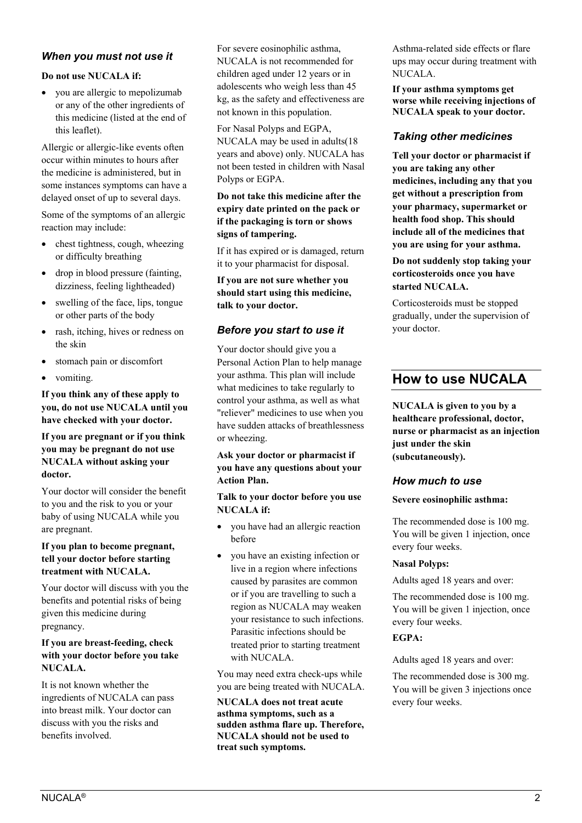# *When you must not use it*

#### **Do not use NUCALA if:**

 you are allergic to mepolizumab or any of the other ingredients of this medicine (listed at the end of this leaflet).

Allergic or allergic-like events often occur within minutes to hours after the medicine is administered, but in some instances symptoms can have a delayed onset of up to several days.

Some of the symptoms of an allergic reaction may include:

- $\bullet$  chest tightness, cough, wheezing or difficulty breathing
- drop in blood pressure (fainting, dizziness, feeling lightheaded)
- swelling of the face, lips, tongue or other parts of the body
- rash, itching, hives or redness on the skin
- stomach pain or discomfort
- vomiting.

**If you think any of these apply to you, do not use NUCALA until you have checked with your doctor.**

#### **If you are pregnant or if you think you may be pregnant do not use NUCALA without asking your doctor.**

Your doctor will consider the benefit to you and the risk to you or your baby of using NUCALA while you are pregnant.

#### **If you plan to become pregnant, tell your doctor before starting treatment with NUCALA.**

Your doctor will discuss with you the benefits and potential risks of being given this medicine during pregnancy.

#### **If you are breast-feeding, check with your doctor before you take NUCALA.**

It is not known whether the ingredients of NUCALA can pass into breast milk. Your doctor can discuss with you the risks and benefits involved.

For severe eosinophilic asthma, NUCALA is not recommended for children aged under 12 years or in adolescents who weigh less than 45 kg, as the safety and effectiveness are not known in this population.

For Nasal Polyps and EGPA, NUCALA may be used in adults(18 years and above) only. NUCALA has not been tested in children with Nasal Polyps or EGPA.

#### **Do not take this medicine after the expiry date printed on the pack or if the packaging is torn or shows signs of tampering.**

If it has expired or is damaged, return it to your pharmacist for disposal.

**If you are not sure whether you should start using this medicine, talk to your doctor.** 

#### *Before you start to use it*

Your doctor should give you a Personal Action Plan to help manage your asthma. This plan will include what medicines to take regularly to control your asthma, as well as what "reliever" medicines to use when you have sudden attacks of breathlessness or wheezing.

#### **Ask your doctor or pharmacist if you have any questions about your Action Plan.**

**Talk to your doctor before you use NUCALA if:**

- you have had an allergic reaction before
- you have an existing infection or live in a region where infections caused by parasites are common or if you are travelling to such a region as NUCALA may weaken your resistance to such infections. Parasitic infections should be treated prior to starting treatment with NUCALA.

You may need extra check-ups while you are being treated with NUCALA.

**NUCALA does not treat acute asthma symptoms, such as a sudden asthma flare up. Therefore, NUCALA should not be used to treat such symptoms.** 

Asthma-related side effects or flare ups may occur during treatment with NUCALA.

**If your asthma symptoms get worse while receiving injections of NUCALA speak to your doctor.** 

#### *Taking other medicines*

**Tell your doctor or pharmacist if you are taking any other medicines, including any that you get without a prescription from your pharmacy, supermarket or health food shop. This should include all of the medicines that you are using for your asthma.**

**Do not suddenly stop taking your corticosteroids once you have started NUCALA.** 

Corticosteroids must be stopped gradually, under the supervision of your doctor.

# **How to use NUCALA**

**NUCALA is given to you by a healthcare professional, doctor, nurse or pharmacist as an injection just under the skin (subcutaneously).** 

#### *How much to use*

#### **Severe eosinophilic asthma:**

The recommended dose is 100 mg. You will be given 1 injection, once every four weeks.

#### **Nasal Polyps:**

Adults aged 18 years and over:

The recommended dose is 100 mg. You will be given 1 injection, once every four weeks.

#### **EGPA:**

Adults aged 18 years and over:

The recommended dose is 300 mg. You will be given 3 injections once every four weeks.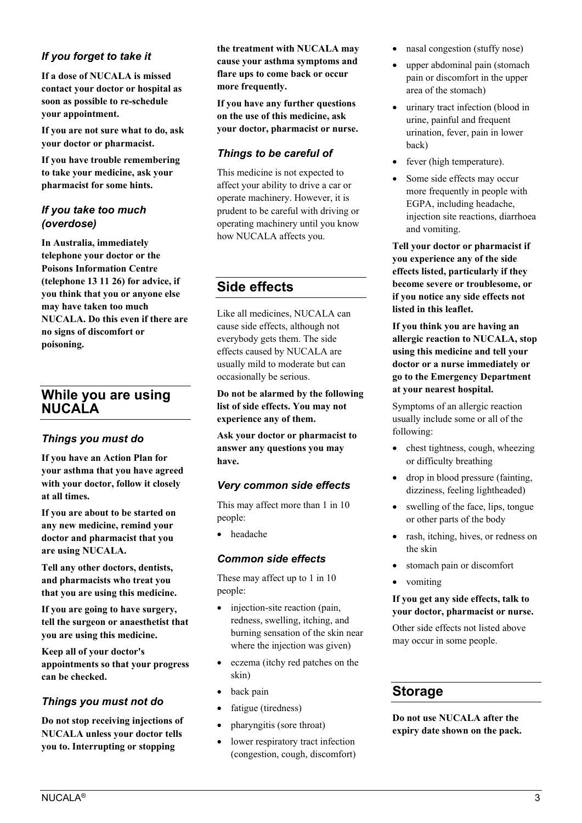# *If you forget to take it*

**If a dose of NUCALA is missed contact your doctor or hospital as soon as possible to re-schedule your appointment.**

**If you are not sure what to do, ask your doctor or pharmacist.**

**If you have trouble remembering to take your medicine, ask your pharmacist for some hints.**

#### *If you take too much (overdose)*

**In Australia, immediately telephone your doctor or the Poisons Information Centre (telephone 13 11 26) for advice, if you think that you or anyone else may have taken too much NUCALA. Do this even if there are no signs of discomfort or poisoning.**

# **While you are using NUCALA**

# *Things you must do*

**If you have an Action Plan for your asthma that you have agreed with your doctor, follow it closely at all times.**

**If you are about to be started on any new medicine, remind your doctor and pharmacist that you are using NUCALA.** 

**Tell any other doctors, dentists, and pharmacists who treat you that you are using this medicine.** 

**If you are going to have surgery, tell the surgeon or anaesthetist that you are using this medicine.** 

**Keep all of your doctor's appointments so that your progress can be checked.** 

# *Things you must not do*

**Do not stop receiving injections of NUCALA unless your doctor tells you to. Interrupting or stopping** 

**the treatment with NUCALA may cause your asthma symptoms and flare ups to come back or occur more frequently.** 

**If you have any further questions on the use of this medicine, ask your doctor, pharmacist or nurse.** 

#### *Things to be careful of*

This medicine is not expected to affect your ability to drive a car or operate machinery. However, it is prudent to be careful with driving or operating machinery until you know how NUCALA affects you.

# **Side effects**

Like all medicines, NUCALA can cause side effects, although not everybody gets them. The side effects caused by NUCALA are usually mild to moderate but can occasionally be serious.

**Do not be alarmed by the following list of side effects. You may not experience any of them.**

**Ask your doctor or pharmacist to answer any questions you may have.**

# *Very common side effects*

This may affect more than 1 in 10 people:

headache

#### *Common side effects*

These may affect up to 1 in 10 people:

- injection-site reaction (pain, redness, swelling, itching, and burning sensation of the skin near where the injection was given)
- eczema (itchy red patches on the skin)
- back pain
- fatigue (tiredness)
- pharyngitis (sore throat)
- lower respiratory tract infection (congestion, cough, discomfort)
- nasal congestion (stuffy nose)
- upper abdominal pain (stomach pain or discomfort in the upper area of the stomach)
- urinary tract infection (blood in urine, painful and frequent urination, fever, pain in lower back)
- fever (high temperature).
- Some side effects may occur more frequently in people with EGPA, including headache, injection site reactions, diarrhoea and vomiting.

**Tell your doctor or pharmacist if you experience any of the side effects listed, particularly if they become severe or troublesome, or if you notice any side effects not listed in this leaflet.** 

**If you think you are having an allergic reaction to NUCALA, stop using this medicine and tell your doctor or a nurse immediately or go to the Emergency Department at your nearest hospital.** 

Symptoms of an allergic reaction usually include some or all of the following:

- chest tightness, cough, wheezing or difficulty breathing
- drop in blood pressure (fainting, dizziness, feeling lightheaded)
- swelling of the face, lips, tongue or other parts of the body
- rash, itching, hives, or redness on the skin
- stomach pain or discomfort
- vomiting

#### **If you get any side effects, talk to your doctor, pharmacist or nurse.**

Other side effects not listed above may occur in some people.

# **Storage**

**Do not use NUCALA after the expiry date shown on the pack.**